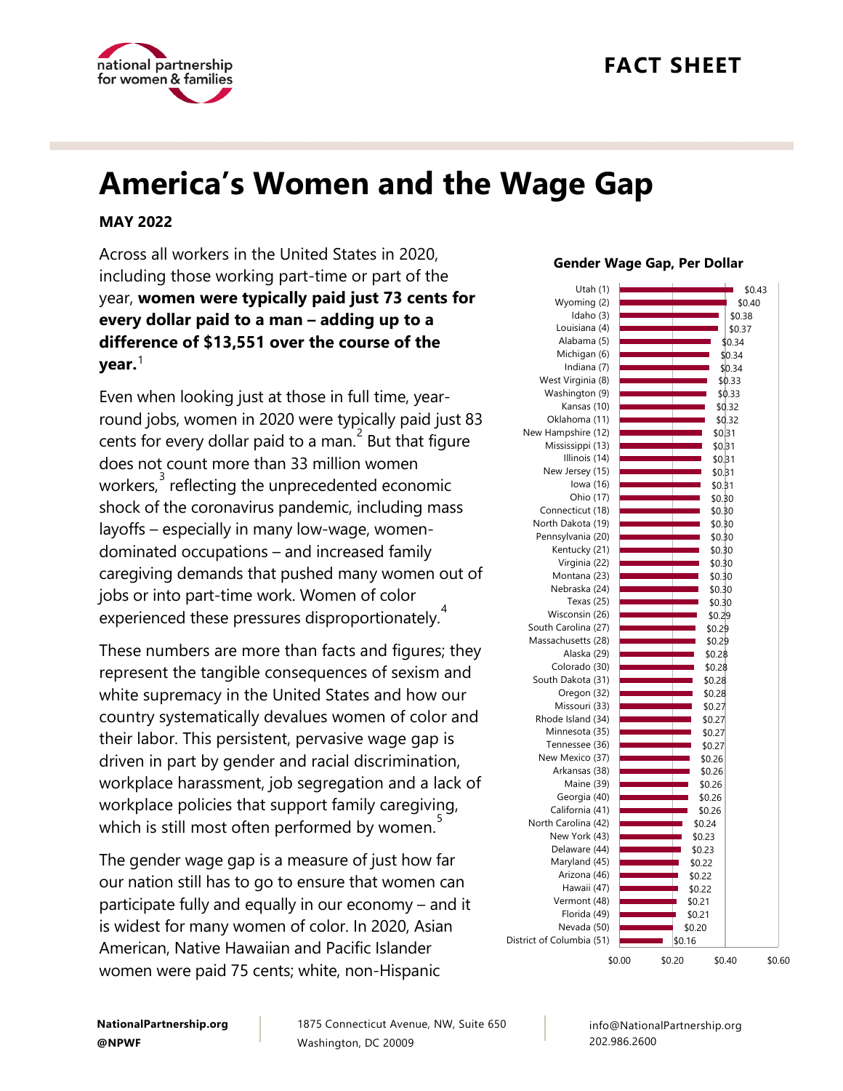

## **FACT SHEET**

# **America's Women and the Wage Gap**

#### **MAY 2022**

Across all workers in the United States in 2020, including those working part-time or part of the year, **women were typically paid just 73 cents for every dollar paid to a man – adding up to a difference of \$13,551 over the course of the year.** [1](#page-5-0)

Even when looking just at those in full time, yearround jobs, women in 2020 were typically paid just 83 cents for every dollar paid to a man.  $2^{2}$  $2^{2}$  But that figure does not count more than 33 million women workers, $\overset{3}{\cdot}$  $\overset{3}{\cdot}$  $\overset{3}{\cdot}$  reflecting the unprecedented economic shock of the coronavirus pandemic, including mass layoffs – especially in many low-wage, womendominated occupations – and increased family caregiving demands that pushed many women out of jobs or into part-time work. Women of color experienced these pressures disproportionately.<sup>[4](#page-5-3)</sup>

These numbers are more than facts and figures; they represent the tangible consequences of sexism and white supremacy in the United States and how our country systematically devalues women of color and their labor. This persistent, pervasive wage gap is driven in part by gender and racial discrimination, workplace harassment, job segregation and a lack of workplace policies that support family caregiving, which is still most often performed by women.<sup>3</sup>

The gender wage gap is a measure of just how far our nation still has to go to ensure that women can participate fully and equally in our economy – and it is widest for many women of color. In 2020, Asian American, Native Hawaiian and Pacific Islander women were paid 75 cents; white, non-Hispanic

#### \$0.43 \$0.40 \$0.38 \$0.37 \$0.34 \$0.34 \$0.34 \$0.33 \$0.33 \$0.32 \$0.32 \$0.31 \$0.31 \$0.31 \$0.31 \$0.31 \$0.30 \$0.30 \$0.30 \$0.30 \$0.30 \$0.30 \$0.30 \$0.30 \$0.30 \$0.29 \$0.29 \$0.29 \$0.28 \$0.28 \$0.28 \$0.28 \$0.27 \$0.27 \$0.27 \$0.27 \$0.26 \$0.26 \$0.26 \$0.26 \$0.26 \$0.24 \$0.23 \$0.23 \$0.22 \$0.22 \$0.22 \$0.21 \$0.21 \$0.20 \$0.16 \$0.00 \$0.20 \$0.40 \$0.60 Utah (1) Wyoming (2) Idaho (3) Louisiana (4) Alabama (5) Michigan (6) Indiana (7) West Virginia (8) Washington (9) Kansas (10) Oklahoma (11) New Hampshire (12) Mississippi (13) Illinois (14) New Jersey (15) Iowa (16) Ohio (17) Connecticut (18) North Dakota (19) Pennsylvania (20) Kentucky (21) Virginia (22) Montana (23) Nebraska (24) Texas (25) Wisconsin (26) South Carolina (27) Massachusetts (28) Alaska (29) Colorado (30) South Dakota (31) Oregon (32) Missouri (33) Rhode Island (34) Minnesota (35) Tennessee (36) New Mexico (37) Arkansas (38) Maine (39) Georgia (40) California (41) North Carolina (42) New York (43) Delaware (44) Maryland (45) Arizona (46) Hawaii (47) Vermont (48) Florida (49) Nevada (50) District of Columbia (51) **Gender Wage Gap, Per Dollar**

**NationalPartnership.org @NPWF**

1875 Connecticut Avenue, NW, Suite 650 Washington, DC 20009

info@NationalPartnership.org 202.986.2600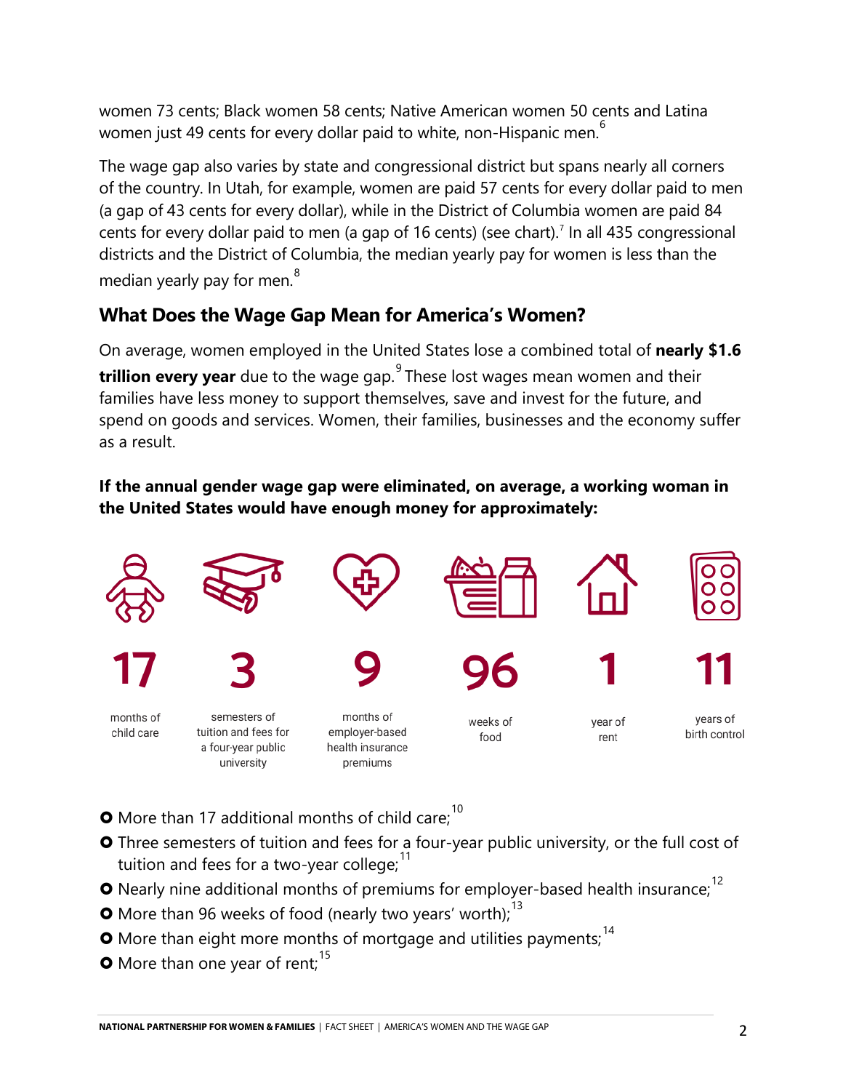women 73 cents; Black women 58 cents; Native American women 50 cents and Latina women just 49 cents for every dollar paid to white, non-Hispanic men.<sup>[6](#page-5-5)</sup>

The wage gap also varies by state and congressional district but spans nearly all corners of the country. In Utah, for example, women are paid 57 cents for every dollar paid to men (a gap of 43 cents for every dollar), while in the District of Columbia women are paid 84 cents for every dollar paid to men (a gap of 16 cents) (see chart).<sup>[7](#page-6-0)</sup> In all 435 congressional districts and the District of Columbia, the median yearly pay for women is less than the median yearly pay for men.<sup>[8](#page-6-1)</sup>

### **What Does the Wage Gap Mean for America's Women?**

On average, women employed in the United States lose a combined total of **nearly \$1.6 trillion every year** due to the wage gap.<sup>[9](#page-6-2)</sup> These lost wages mean women and their families have less money to support themselves, save and invest for the future, and spend on goods and services. Women, their families, businesses and the economy suffer as a result.

#### **If the annual gender wage gap were eliminated, on average, a working woman in the United States would have enough money for approximately:**



- **O** More than 17 additional months of child care;<sup>[10](#page-6-3)</sup>
- Three semesters of tuition and fees for a four-year public university, or the full cost of tuition and fees for a two-year college; $11$
- **O** Nearly nine additional months of premiums for employer-based health insurance;<sup>[12](#page-6-5)</sup>
- **O** More than 96 weeks of food (nearly two years' worth);  $13$
- **O** More than eight more months of mortgage and utilities payments;  $14$
- **O** More than one year of rent;<sup>[15](#page-6-8)</sup>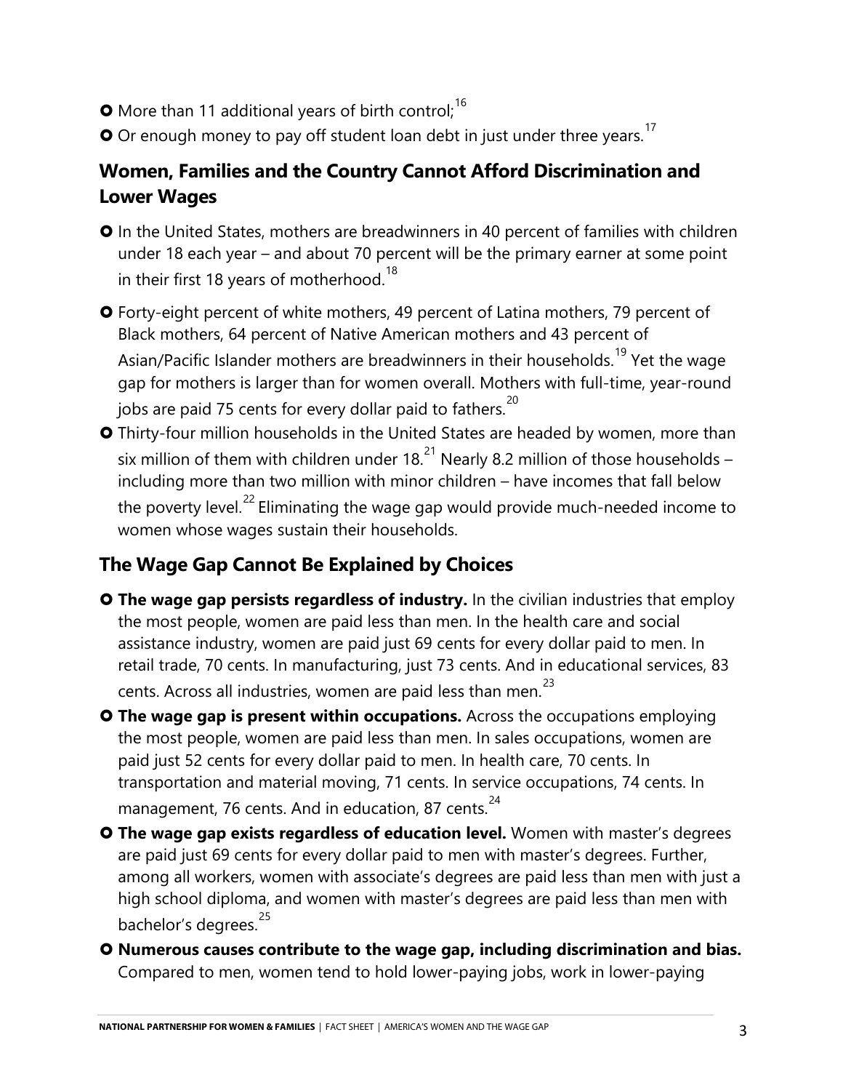- **O** More than 11 additional years of birth control;<sup>[16](#page-6-9)</sup>
- $\bullet$  Or enough money to pay off student loan debt in just under three years.<sup>[17](#page-6-10)</sup>

## **Women, Families and the Country Cannot Afford Discrimination and Lower Wages**

**O** In the United States, mothers are breadwinners in 40 percent of families with children under 18 each year – and about 70 percent will be the primary earner at some point in their first [18](#page-6-11) years of motherhood.  $^{18}$ 

 Forty-eight percent of white mothers, 49 percent of Latina mothers, 79 percent of Black mothers, 64 percent of Native American mothers and 43 percent of Asian/Pacific Islander mothers are breadwinners in their households.<sup>[19](#page-6-12)</sup> Yet the wage gap for mothers is larger than for women overall. Mothers with full-time, year-round jobs are paid 75 cents for every dollar paid to fathers.<sup>[20](#page-7-0)</sup>

 Thirty-four million households in the United States are headed by women, more than six million of them with children under 18. $^{21}$  $^{21}$  $^{21}$  Nearly 8.2 million of those households – including more than two million with minor children – have incomes that fall below the poverty level.<sup>[22](#page-7-2)</sup> Eliminating the wage gap would provide much-needed income to women whose wages sustain their households.

#### **The Wage Gap Cannot Be Explained by Choices**

- **O** The wage gap persists regardless of industry. In the civilian industries that employ the most people, women are paid less than men. In the health care and social assistance industry, women are paid just 69 cents for every dollar paid to men. In retail trade, 70 cents. In manufacturing, just 73 cents. And in educational services, 83 cents. Across all industries, women are paid less than men.<sup>[23](#page-7-3)</sup>
- **O** The wage gap is present within occupations. Across the occupations employing the most people, women are paid less than men. In sales occupations, women are paid just 52 cents for every dollar paid to men. In health care, 70 cents. In transportation and material moving, 71 cents. In service occupations, 74 cents. In management, 76 cents. And in education, 87 cents.<sup>[24](#page-7-4)</sup>
- **The wage gap exists regardless of education level.** Women with master's degrees are paid just 69 cents for every dollar paid to men with master's degrees. Further, among all workers, women with associate's degrees are paid less than men with just a high school diploma, and women with master's degrees are paid less than men with bachelor's degrees.<sup>[25](#page-7-5)</sup>
- **Numerous causes contribute to the wage gap, including discrimination and bias.** Compared to men, women tend to hold lower-paying jobs, work in lower-paying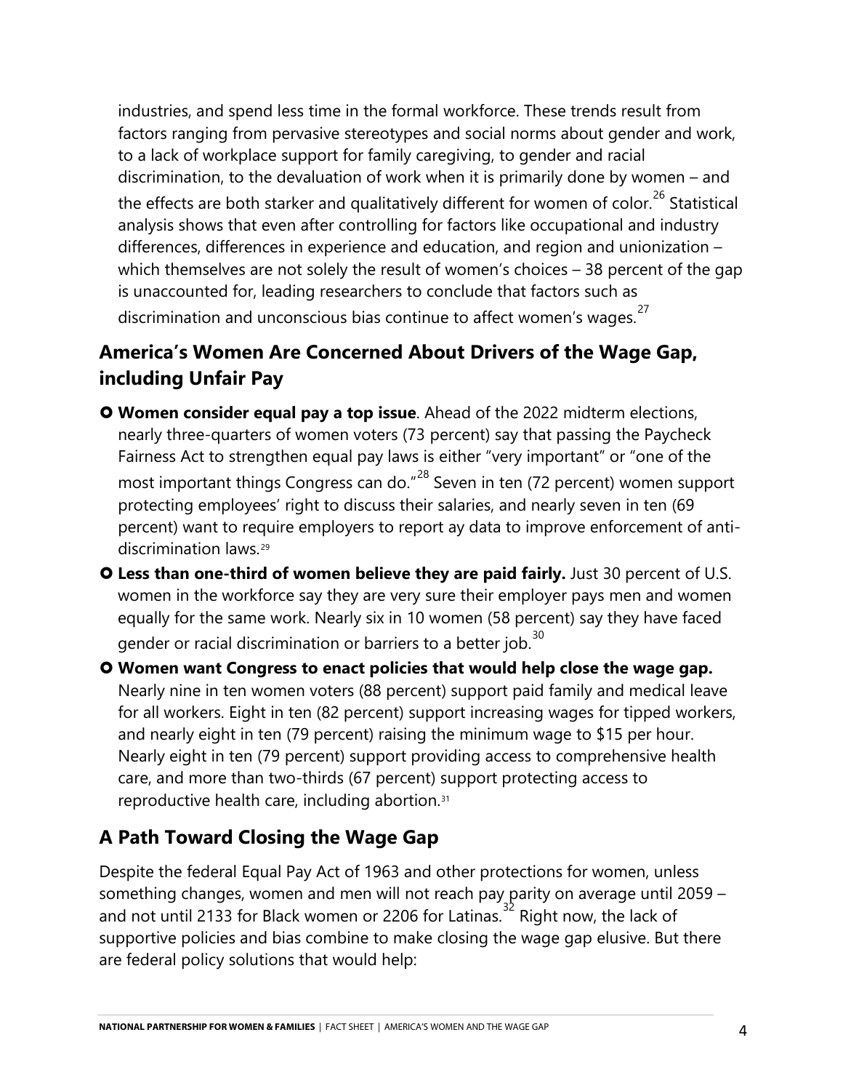industries, and spend less time in the formal workforce. These trends result from factors ranging from pervasive stereotypes and social norms about gender and work, to a lack of workplace support for family caregiving, to gender and racial discrimination, to the devaluation of work when it is primarily done by women – and the effects are both starker and qualitatively different for women of color.<sup>[26](#page-7-6)</sup> Statistical analysis shows that even after controlling for factors like occupational and industry differences, differences in experience and education, and region and unionization – which themselves are not solely the result of women's choices – 38 percent of the gap is unaccounted for, leading researchers to conclude that factors such as discrimination and unconscious bias continue to affect women's wages.<sup>[27](#page-7-7)</sup>

#### **America's Women Are Concerned About Drivers of the Wage Gap, including Unfair Pay**

- **Women consider equal pay a top issue**. Ahead of the 2022 midterm elections, nearly three-quarters of women voters (73 percent) say that passing the Paycheck Fairness Act to strengthen equal pay laws is either "very important" or "one of the most important things Congress can do."<sup>[28](#page-7-8)</sup> Seven in ten (72 percent) women support protecting employees' right to discuss their salaries, and nearly seven in ten (69 percent) want to require employers to report ay data to improve enforcement of antidiscrimination laws.[29](#page-7-9)
- **Less than one-third of women believe they are paid fairly.** Just 30 percent of U.S. women in the workforce say they are very sure their employer pays men and women equally for the same work. Nearly six in 10 women (58 percent) say they have faced gender or racial discrimination or barriers to a better job. $30$
- **Women want Congress to enact policies that would help close the wage gap.**  Nearly nine in ten women voters (88 percent) support paid family and medical leave for all workers. Eight in ten (82 percent) support increasing wages for tipped workers, and nearly eight in ten (79 percent) raising the minimum wage to \$15 per hour. Nearly eight in ten (79 percent) support providing access to comprehensive health care, and more than two-thirds (67 percent) support protecting access to reproductive health care, including abortion.[31](#page-7-11)

### **A Path Toward Closing the Wage Gap**

Despite the federal Equal Pay Act of 1963 and other protections for women, unless something changes, women and men will not reach pay parity on average until 2059 – and not until 2133 for Black women or 2206 for Latinas.<sup>[32](#page-7-12)</sup> Right now, the lack of supportive policies and bias combine to make closing the wage gap elusive. But there are federal policy solutions that would help: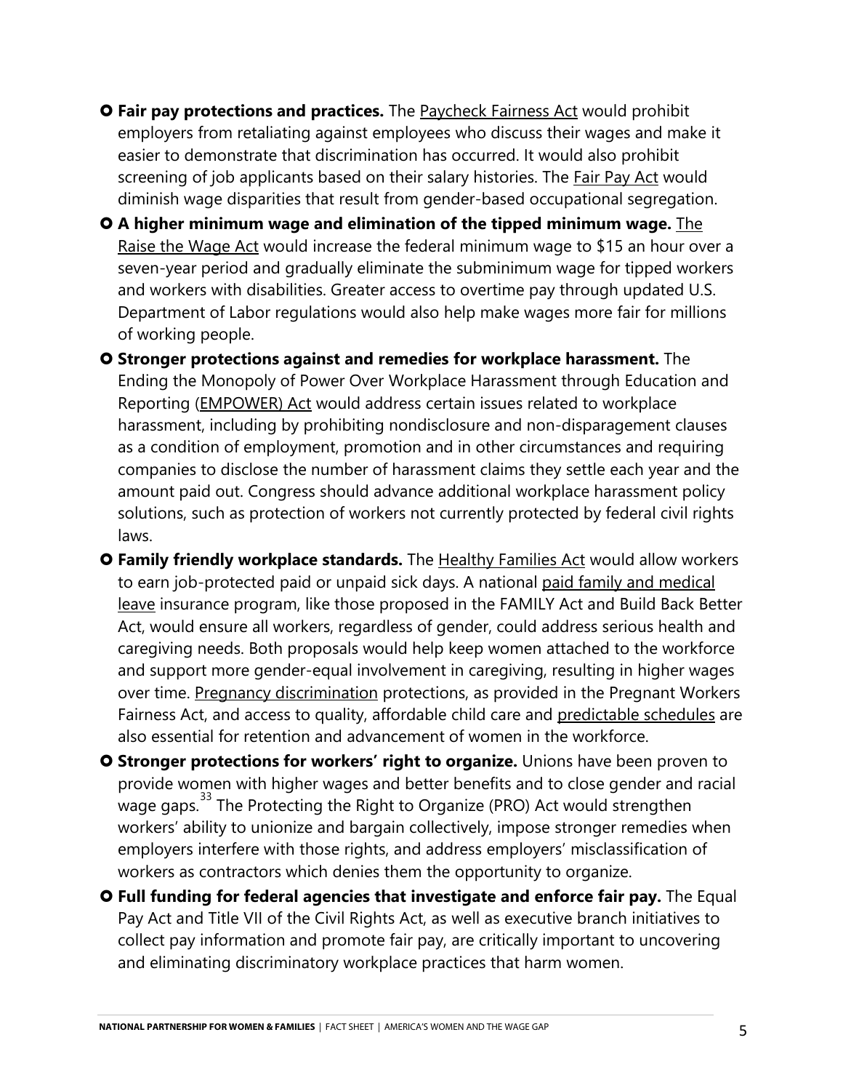- **O [Fair](http://www.nationalpartnership.org/research-library/workplace-fairness/fair-pay/the-paycheck-fairness-act.pdf) pay protections and practices.** The [Paycheck Fairness Act](http://www.nationalpartnership.org/research-library/workplace-fairness/fair-pay/the-paycheck-fairness-act.pdf) would prohibit employers from retaliating against employees who discuss their wages and make it easier to demonstrate that discrimination has occurred. It would also prohibit screening of job applicants based on their salary histories. The Fair Pay Act would diminish wage disparities that result from gender-based occupational segregation.
- **A higher minimum wage and elimination of the tipped minimum wage.** The Raise the Wage Act would increase the federal minimum wage to \$15 an hour over a seven-year period and gradually eliminate the subminimum wage for tipped workers and workers with disabilities. Greater access to overtime pay through updated U.S. Department of Labor regulations would also help make wages more fair for millions of working people.
- **Stronger protections against and remedies for workplace harassment.** The Ending the Monopoly of Power Over Workplace Harassment through Education and Reporting (EMPOWER) Act would address certain issues related to workplace harassment, including by prohibiting nondisclosure and non-disparagement clauses as a condition of employment, promotion and in other circumstances and requiring companies to disclose the number of harassment claims they settle each year and the amount paid out. Congress should advance additional workplace harassment policy solutions, such as protection of workers not currently protected by federal civil rights laws.
- **O Family friendly workplace standards.** The [Healthy Families Act](http://www.nationalpartnership.org/research-library/work-family/psd/the-healthy-families-act-fact-sheet.pdf) would allow workers to earn job-protected paid or unpaid sick days. A national paid family and medical leave insurance program, like those proposed in the FAMILY Act and Build Back Better Act, would ensure all workers, regardless of gender, could address serious health and caregiving needs. Both proposals would help keep women attached to the workforce and support more gender-equal involvement in caregiving, resulting in higher wages over time. [Pregnancy discrimination](http://www.nationalpartnership.org/research-library/workplace-fairness/pregnancy-discrimination/fact-sheet-pwfa.pdf) protections, as provided in the Pregnant Workers Fairness Act, and access to quality, affordable child care and [predictable schedules](http://www.nationalpartnership.org/research-library/workplace-fairness/equal-opportunity/schedules-that-work-act-fact-sheet.pdf) are also essential for retention and advancement of women in the workforce.
- **O Stronger protections for workers' right to organize.** Unions have been proven to provide women with higher wages and better benefits and to close gender and racial .<br>wage gaps.<sup>[33](#page-7-13)</sup> The Protecting the Right to Organize (PRO) Act would strengthen workers' ability to unionize and bargain collectively, impose stronger remedies when employers interfere with those rights, and address employers' misclassification of workers as contractors which denies them the opportunity to organize.
- **Full funding for federal agencies that investigate and enforce fair pay.** The Equal Pay Act and Title VII of the Civil Rights Act, as well as executive branch initiatives to collect pay information and promote fair pay, are critically important to uncovering and eliminating discriminatory workplace practices that harm women.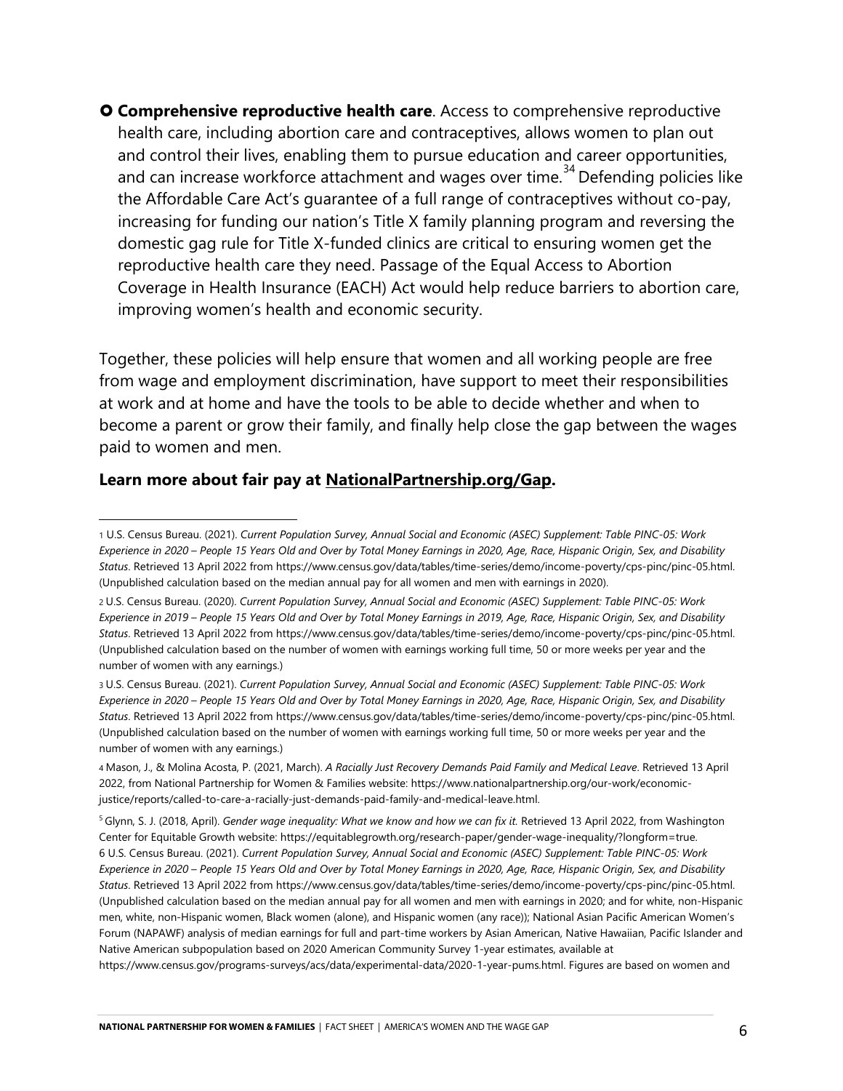**Comprehensive reproductive health care**. Access to comprehensive reproductive health care, including abortion care and contraceptives, allows women to plan out and control their lives, enabling them to pursue education and career opportunities, and can increase workforce attachment and wages over time.<sup>[34](#page-8-0)</sup> Defending policies like the Affordable Care Act's guarantee of a full range of contraceptives without co-pay, increasing for funding our nation's Title X family planning program and reversing the domestic gag rule for Title X-funded clinics are critical to ensuring women get the reproductive health care they need. Passage of the Equal Access to Abortion Coverage in Health Insurance (EACH) Act would help reduce barriers to abortion care, improving women's health and economic security.

Together, these policies will help ensure that women and all working people are free from wage and employment discrimination, have support to meet their responsibilities at work and at home and have the tools to be able to decide whether and when to become a parent or grow their family, and finally help close the gap between the wages paid to women and men.

#### **Learn more about fair pay at [NationalPartnership.org/Gap.](http://www.nationalpartnership.org/gap)**

<span id="page-5-0"></span><sup>1</sup> U.S. Census Bureau. (2021). *Current Population Survey, Annual Social and Economic (ASEC) Supplement: Table PINC-05: Work Experience in 2020 – People 15 Years Old and Over by Total Money Earnings in 2020, Age, Race, Hispanic Origin, Sex, and Disability Status*. Retrieved 13 April 2022 fro[m https://www.census.gov/data/tables/time-series/demo/income-poverty/cps-pinc/pinc-05.html.](https://www.census.gov/data/tables/time-series/demo/income-poverty/cps-pinc/pinc-05.html) (Unpublished calculation based on the median annual pay for all women and men with earnings in 2020).

<span id="page-5-1"></span><sup>2</sup> U.S. Census Bureau. (2020). *Current Population Survey, Annual Social and Economic (ASEC) Supplement: Table PINC-05: Work Experience in 2019 – People 15 Years Old and Over by Total Money Earnings in 2019, Age, Race, Hispanic Origin, Sex, and Disability Status*. Retrieved 13 April 2022 fro[m https://www.census.gov/data/tables/time-series/demo/income-poverty/cps-pinc/pinc-05.html.](https://www.census.gov/data/tables/time-series/demo/income-poverty/cps-pinc/pinc-05.html) (Unpublished calculation based on the number of women with earnings working full time, 50 or more weeks per year and the number of women with any earnings.)

<span id="page-5-2"></span><sup>3</sup> U.S. Census Bureau. (2021). *Current Population Survey, Annual Social and Economic (ASEC) Supplement: Table PINC-05: Work Experience in 2020 – People 15 Years Old and Over by Total Money Earnings in 2020, Age, Race, Hispanic Origin, Sex, and Disability Status*. Retrieved 13 April 2022 fro[m https://www.census.gov/data/tables/time-series/demo/income-poverty/cps-pinc/pinc-05.html.](https://www.census.gov/data/tables/time-series/demo/income-poverty/cps-pinc/pinc-05.html) (Unpublished calculation based on the number of women with earnings working full time, 50 or more weeks per year and the number of women with any earnings.)

<span id="page-5-3"></span><sup>4</sup> Mason, J., & Molina Acosta, P. (2021, March). *A Racially Just Recovery Demands Paid Family and Medical Leave*. Retrieved 13 April 2022, from National Partnership for Women & Families website[: https://www.nationalpartnership.org/our-work/economic](https://www.nationalpartnership.org/our-work/economic-justice/reports/called-to-care-a-racially-just-demands-paid-family-and-medical-leave.html)[justice/reports/called-to-care-a-racially-just-demands-paid-family-and-medical-leave.html.](https://www.nationalpartnership.org/our-work/economic-justice/reports/called-to-care-a-racially-just-demands-paid-family-and-medical-leave.html) 

<span id="page-5-5"></span><span id="page-5-4"></span><sup>&</sup>lt;sup>5</sup> Glynn, S. J. (2018, April). *Gender wage inequality: What we know and how we can fix it.* Retrieved 13 April 2022, from Washington Center for Equitable Growth website[: https://equitablegrowth.org/research-paper/gender-wage-inequality/?longform=true.](https://equitablegrowth.org/research-paper/gender-wage-inequality/?longform=true)  6 U.S. Census Bureau. (2021). *Current Population Survey, Annual Social and Economic (ASEC) Supplement: Table PINC-05: Work Experience in 2020 – People 15 Years Old and Over by Total Money Earnings in 2020, Age, Race, Hispanic Origin, Sex, and Disability Status*. Retrieved 13 April 2022 fro[m https://www.census.gov/data/tables/time-series/demo/income-poverty/cps-pinc/pinc-05.html.](https://www.census.gov/data/tables/time-series/demo/income-poverty/cps-pinc/pinc-05.html) (Unpublished calculation based on the median annual pay for all women and men with earnings in 2020; and for white, non-Hispanic men, white, non-Hispanic women, Black women (alone), and Hispanic women (any race)); National Asian Pacific American Women's Forum (NAPAWF) analysis of median earnings for full and part-time workers by Asian American, Native Hawaiian, Pacific Islander and Native American subpopulation based on 2020 American Community Survey 1-year estimates, available at [https://www.census.gov/programs-surveys/acs/data/experimental-data/2020-1-year-pums.html.](https://www.census.gov/programs-surveys/acs/data/experimental-data/2020-1-year-pums.html) Figures are based on women and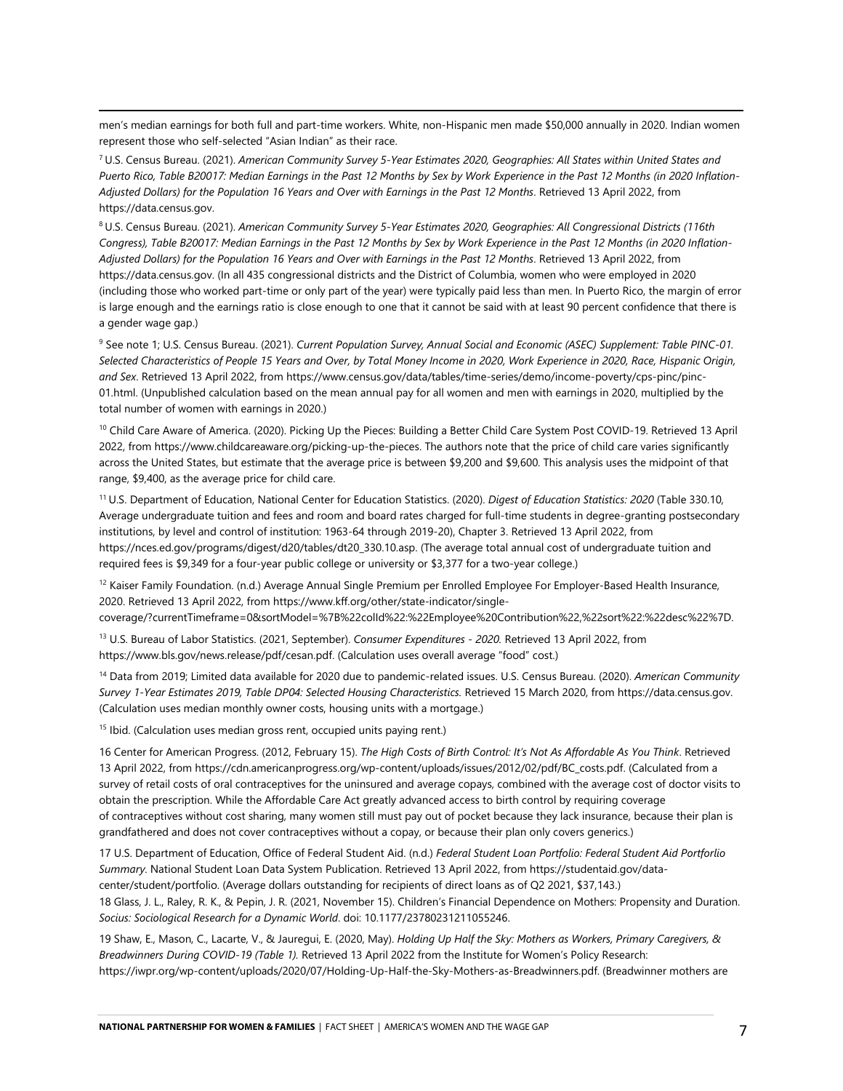men's median earnings for both full and part-time workers. White, non-Hispanic men made \$50,000 annually in 2020. Indian women represent those who self-selected "Asian Indian" as their race.

<span id="page-6-0"></span><sup>7</sup> U.S. Census Bureau. (2021). *American Community Survey 5-Year Estimates 2020, Geographies: All States within United States and Puerto Rico, Table B20017: Median Earnings in the Past 12 Months by Sex by Work Experience in the Past 12 Months (in 2020 Inflation-Adjusted Dollars) for the Population 16 Years and Over with Earnings in the Past 12 Months*. Retrieved 13 April 2022, from [https://data.census.gov.](https://data.census.gov/) 

<span id="page-6-1"></span><sup>8</sup> U.S. Census Bureau. (2021). *American Community Survey 5-Year Estimates 2020, Geographies: All Congressional Districts (116th Congress), Table B20017: Median Earnings in the Past 12 Months by Sex by Work Experience in the Past 12 Months (in 2020 Inflation-Adjusted Dollars) for the Population 16 Years and Over with Earnings in the Past 12 Months*. Retrieved 13 April 2022, from [https://data.census.gov.](https://data.census.gov/) (In all 435 congressional districts and the District of Columbia, women who were employed in 2020 (including those who worked part-time or only part of the year) were typically paid less than men. In Puerto Rico, the margin of error is large enough and the earnings ratio is close enough to one that it cannot be said with at least 90 percent confidence that there is a gender wage gap.)

<span id="page-6-2"></span><sup>9</sup> See note 1; U.S. Census Bureau. (2021). *Current Population Survey, Annual Social and Economic (ASEC) Supplement: Table PINC-01. Selected Characteristics of People 15 Years and Over, by Total Money Income in 2020, Work Experience in 2020, Race, Hispanic Origin, and Sex*. Retrieved 13 April 2022, from [https://www.census.gov/data/tables/time-series/demo/income-poverty/cps-pinc/pinc-](https://www.census.gov/data/tables/time-series/demo/income-poverty/cps-pinc/pinc-01.html)[01.html.](https://www.census.gov/data/tables/time-series/demo/income-poverty/cps-pinc/pinc-01.html) (Unpublished calculation based on the mean annual pay for all women and men with earnings in 2020, multiplied by the total number of women with earnings in 2020.)

<span id="page-6-3"></span><sup>10</sup> Child Care Aware of America. (2020). Picking Up the Pieces: Building a Better Child Care System Post COVID-19. Retrieved 13 April 2022, fro[m https://www.childcareaware.org/picking-up-the-pieces.](https://www.childcareaware.org/picking-up-the-pieces) The authors note that the price of child care varies significantly across the United States, but estimate that the average price is between \$9,200 and \$9,600. This analysis uses the midpoint of that range, \$9,400, as the average price for child care.

<span id="page-6-4"></span><sup>11</sup> U.S. Department of Education, National Center for Education Statistics. (2020). *Digest of Education Statistics: 2020* (Table 330.10, Average undergraduate tuition and fees and room and board rates charged for full-time students in degree-granting postsecondary institutions, by level and control of institution: 1963-64 through 2019-20), Chapter 3. Retrieved 13 April 2022, from [https://nces.ed.gov/programs/digest/d20/tables/dt20\\_330.10.asp.](https://nces.ed.gov/programs/digest/d20/tables/dt20_330.10.asp) (The average total annual cost of undergraduate tuition and required fees is \$9,349 for a four-year public college or university or \$3,377 for a two-year college.)

<span id="page-6-5"></span><sup>12</sup> Kaiser Family Foundation. (n.d.) Average Annual Single Premium per Enrolled Employee For Employer-Based Health Insurance, 2020. Retrieved 13 April 2022, fro[m https://www.kff.org/other/state-indicator/single-](https://www.kff.org/other/state-indicator/single-coverage/?currentTimeframe=0&sortModel=%7B%22colId%22:%22Employee%20Contribution%22,%22sort%22:%22desc%22%7D)

[coverage/?currentTimeframe=0&sortModel=%7B%22colId%22:%22Employee%20Contribution%22,%22sort%22:%22desc%22%7D.](https://www.kff.org/other/state-indicator/single-coverage/?currentTimeframe=0&sortModel=%7B%22colId%22:%22Employee%20Contribution%22,%22sort%22:%22desc%22%7D)

<span id="page-6-6"></span><sup>13</sup> U.S. Bureau of Labor Statistics. (2021, September). *Consumer Expenditures - 2020.* Retrieved 13 April 2022, from [https://www.bls.gov/news.release/pdf/cesan.pdf.](https://www.bls.gov/news.release/pdf/cesan.pdf) (Calculation uses overall average "food" cost.)

<span id="page-6-7"></span><sup>14</sup> Data from 2019; Limited data available for 2020 due to pandemic-related issues. U.S. Census Bureau. (2020). *American Community Survey 1-Year Estimates 2019, Table DP04: Selected Housing Characteristics.* Retrieved 15 March 2020, fro[m https://data.census.gov.](https://data.census.gov/)  (Calculation uses median monthly owner costs, housing units with a mortgage.)

<span id="page-6-8"></span><sup>15</sup> Ibid. (Calculation uses median gross rent, occupied units paying rent.)

<span id="page-6-9"></span>16 Center for American Progress. (2012, February 15). *The High Costs of Birth Control: It's Not As Affordable As You Think*. Retrieved 13 April 2022, from [https://cdn.americanprogress.org/wp-content/uploads/issues/2012/02/pdf/BC\\_costs.pdf.](https://cdn.americanprogress.org/wp-content/uploads/issues/2012/02/pdf/BC_costs.pdf) (Calculated from a survey of retail costs of oral contraceptives for the uninsured and average copays, combined with the average cost of doctor visits to obtain the prescription. While the Affordable Care Act greatly advanced access to birth control by requiring coverage of contraceptives without cost sharing, many women still must pay out of pocket because they lack insurance, because their plan is grandfathered and does not cover contraceptives without a copay, or because their plan only covers generics.)

<span id="page-6-10"></span>17 U.S. Department of Education, Office of Federal Student Aid. (n.d.) *Federal Student Loan Portfolio: Federal Student Aid Portforlio Summary*. National Student Loan Data System Publication. Retrieved 13 April 2022, from [https://studentaid.gov/data](https://studentaid.gov/data-center/student/portfolio)[center/student/portfolio.](https://studentaid.gov/data-center/student/portfolio) (Average dollars outstanding for recipients of direct loans as of Q2 2021, \$37,143.) 18 Glass, J. L., Raley, R. K., & Pepin, J. R. (2021, November 15). Children's Financial Dependence on Mothers: Propensity and Duration. *Socius: Sociological Research for a Dynamic World*. doi: 10.1177/23780231211055246.

<span id="page-6-12"></span><span id="page-6-11"></span>19 Shaw, E., Mason, C., Lacarte, V., & Jauregui, E. (2020, May). *Holding Up Half the Sky: Mothers as Workers, Primary Caregivers, & Breadwinners During COVID-19 (Table 1).* Retrieved 13 April 2022 from the Institute for Women's Policy Research: [https://iwpr.org/wp-content/uploads/2020/07/Holding-Up-Half-the-Sky-Mothers-as-Breadwinners.pdf.](https://iwpr.org/wp-content/uploads/2020/07/Holding-Up-Half-the-Sky-Mothers-as-Breadwinners.pdf) (Breadwinner mothers are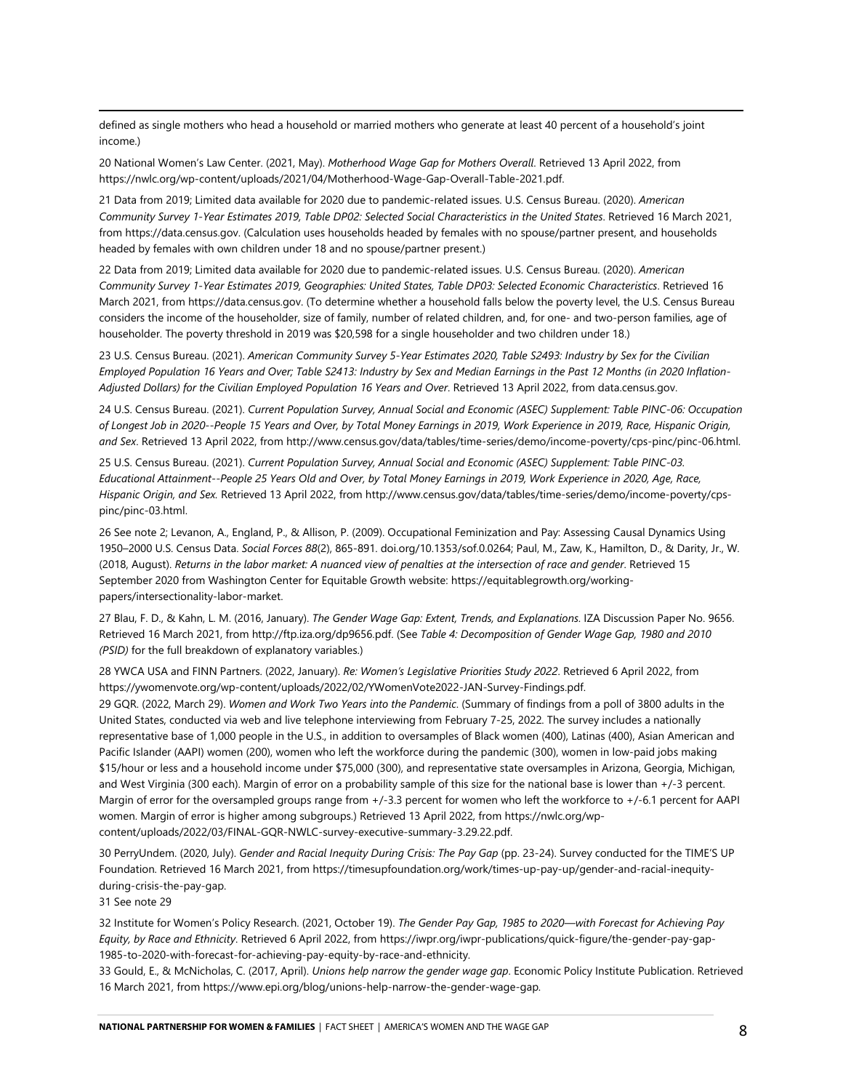defined as single mothers who head a household or married mothers who generate at least 40 percent of a household's joint income.)

<span id="page-7-0"></span>20 National Women's Law Center. (2021, May). *Motherhood Wage Gap for Mothers Overall*. Retrieved 13 April 2022, from [https://nwlc.org/wp-content/uploads/2021/04/Motherhood-Wage-Gap-Overall-Table-2021.pdf.](https://nwlc.org/wp-content/uploads/2021/04/Motherhood-Wage-Gap-Overall-Table-2021.pdf)

<span id="page-7-1"></span>21 Data from 2019; Limited data available for 2020 due to pandemic-related issues. U.S. Census Bureau. (2020). *American Community Survey 1-Year Estimates 2019, Table DP02: Selected Social Characteristics in the United States*. Retrieved 16 March 2021, from [https://data.census.gov.](https://data.census.gov/) (Calculation uses households headed by females with no spouse/partner present, and households headed by females with own children under 18 and no spouse/partner present.)

<span id="page-7-2"></span>22 Data from 2019; Limited data available for 2020 due to pandemic-related issues. U.S. Census Bureau. (2020). *American Community Survey 1-Year Estimates 2019, Geographies: United States, Table DP03: Selected Economic Characteristics*. Retrieved 16 March 2021, fro[m https://data.census.gov.](https://data.census.gov/) (To determine whether a household falls below the poverty level, the U.S. Census Bureau considers the income of the householder, size of family, number of related children, and, for one- and two-person families, age of householder. The poverty threshold in 2019 was \$20,598 for a single householder and two children under 18.)

<span id="page-7-3"></span>23 U.S. Census Bureau. (2021). *American Community Survey 5-Year Estimates 2020, Table S2493: Industry by Sex for the Civilian Employed Population 16 Years and Over; Table S2413: Industry by Sex and Median Earnings in the Past 12 Months (in 2020 Inflation-Adjusted Dollars) for the Civilian Employed Population 16 Years and Over*. Retrieved 13 April 2022, from data.census.gov.

<span id="page-7-4"></span>24 U.S. Census Bureau. (2021). *Current Population Survey, Annual Social and Economic (ASEC) Supplement: Table PINC-06: Occupation of Longest Job in 2020--People 15 Years and Over, by Total Money Earnings in 2019, Work Experience in 2019, Race, Hispanic Origin, and Sex*. Retrieved 13 April 2022, from [http://www.census.gov/data/tables/time-series/demo/income-poverty/cps-pinc/pinc-06.html.](http://www.census.gov/data/tables/time-series/demo/income-poverty/cps-pinc/pinc-06.html) 

<span id="page-7-5"></span>25 U.S. Census Bureau. (2021). *Current Population Survey, Annual Social and Economic (ASEC) Supplement: Table PINC-03. Educational Attainment--People 25 Years Old and Over, by Total Money Earnings in 2019, Work Experience in 2020, Age, Race, Hispanic Origin, and Sex.* Retrieved 13 April 2022, fro[m http://www.census.gov/data/tables/time-series/demo/income-poverty/cps](http://www.census.gov/data/tables/time-series/demo/income-poverty/cps-pinc/pinc-03.html)[pinc/pinc-03.html.](http://www.census.gov/data/tables/time-series/demo/income-poverty/cps-pinc/pinc-03.html) 

<span id="page-7-6"></span>26 See note 2; Levanon, A., England, P., & Allison, P. (2009). Occupational Feminization and Pay: Assessing Causal Dynamics Using 1950–2000 U.S. Census Data. *Social Forces 88*(2), 865-891. doi.org/10.1353/sof.0.0264; Paul, M., Zaw, K., Hamilton, D., & Darity, Jr., W. (2018, August). *Returns in the labor market: A nuanced view of penalties at the intersection of race and gender*. Retrieved 15 September 2020 from Washington Center for Equitable Growth website[: https://equitablegrowth.org/working](https://equitablegrowth.org/working-papers/intersectionality-labor-market)[papers/intersectionality-labor-market.](https://equitablegrowth.org/working-papers/intersectionality-labor-market) 

<span id="page-7-7"></span>27 Blau, F. D., & Kahn, L. M. (2016, January). *The Gender Wage Gap: Extent, Trends, and Explanations*. IZA Discussion Paper No. 9656. Retrieved 16 March 2021, from [http://ftp.iza.org/dp9656.pdf.](http://ftp.iza.org/dp9656.pdf) (See *Table 4: Decomposition of Gender Wage Gap, 1980 and 2010 (PSID)* for the full breakdown of explanatory variables.)

<span id="page-7-8"></span>28 YWCA USA and FINN Partners. (2022, January). *Re: Women's Legislative Priorities Study 2022*. Retrieved 6 April 2022, from [https://ywomenvote.org/wp-content/uploads/2022/02/YWomenVote2022-JAN-Survey-Findings.pdf.](https://ywomenvote.org/wp-content/uploads/2022/02/YWomenVote2022-JAN-Survey-Findings.pdf) 

<span id="page-7-9"></span>29 GQR. (2022, March 29). *Women and Work Two Years into the Pandemic*. (Summary of findings from a poll of 3800 adults in the United States, conducted via web and live telephone interviewing from February 7-25, 2022. The survey includes a nationally representative base of 1,000 people in the U.S., in addition to oversamples of Black women (400), Latinas (400), Asian American and Pacific Islander (AAPI) women (200), women who left the workforce during the pandemic (300), women in low-paid jobs making \$15/hour or less and a household income under \$75,000 (300), and representative state oversamples in Arizona, Georgia, Michigan, and West Virginia (300 each). Margin of error on a probability sample of this size for the national base is lower than +/-3 percent. Margin of error for the oversampled groups range from +/-3.3 percent for women who left the workforce to +/-6.1 percent for AAPI women. Margin of error is higher among subgroups.) Retrieved 13 April 2022, fro[m https://nwlc.org/wp](https://nwlc.org/wp-content/uploads/2022/03/FINAL-GQR-NWLC-survey-executive-summary-3.29.22.pdf)[content/uploads/2022/03/FINAL-GQR-NWLC-survey-executive-summary-3.29.22.pdf.](https://nwlc.org/wp-content/uploads/2022/03/FINAL-GQR-NWLC-survey-executive-summary-3.29.22.pdf) 

<span id="page-7-10"></span>30 PerryUndem. (2020, July). *Gender and Racial Inequity During Crisis: The Pay Gap* (pp. 23-24). Survey conducted for the TIME'S UP Foundation. Retrieved 16 March 2021, fro[m https://timesupfoundation.org/work/times-up-pay-up/gender-and-racial-inequity](https://timesupfoundation.org/work/times-up-pay-up/gender-and-racial-inequity-during-crisis-the-pay-gap)[during-crisis-the-pay-gap.](https://timesupfoundation.org/work/times-up-pay-up/gender-and-racial-inequity-during-crisis-the-pay-gap) 

<span id="page-7-11"></span>31 See note 29

<span id="page-7-12"></span>32 Institute for Women's Policy Research. (2021, October 19). *The Gender Pay Gap, 1985 to 2020—with Forecast for Achieving Pay Equity, by Race and Ethnicity*. Retrieved 6 April 2022, from [https://iwpr.org/iwpr-publications/quick-figure/the-gender-pay-gap-](https://iwpr.org/iwpr-publications/quick-figure/the-gender-pay-gap-1985-to-2020-with-forecast-for-achieving-pay-equity-by-race-and-ethnicity)[1985-to-2020-with-forecast-for-achieving-pay-equity-by-race-and-ethnicity.](https://iwpr.org/iwpr-publications/quick-figure/the-gender-pay-gap-1985-to-2020-with-forecast-for-achieving-pay-equity-by-race-and-ethnicity) 

<span id="page-7-13"></span>33 Gould, E., & McNicholas, C. (2017, April). *Unions help narrow the gender wage gap*. Economic Policy Institute Publication. Retrieved 16 March 2021, fro[m https://www.epi.org/blog/unions-help-narrow-the-gender-wage-gap.](https://www.epi.org/blog/unions-help-narrow-the-gender-wage-gap)